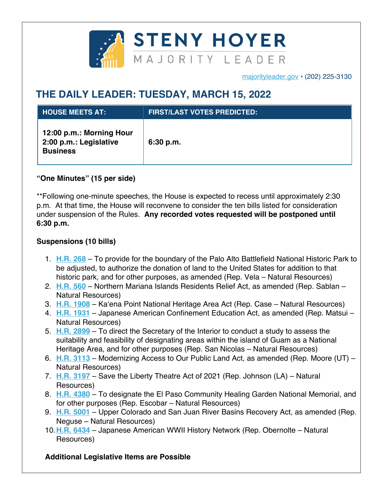

majorityleader.gov • (202) 225-3130

## **THE DAILY LEADER: TUESDAY, MARCH 15, 2022**

| <b>HOUSE MEETS AT:</b>                                                | <b>FIRST/LAST VOTES PREDICTED:</b> |
|-----------------------------------------------------------------------|------------------------------------|
| 12:00 p.m.: Morning Hour<br>2:00 p.m.: Legislative<br><b>Business</b> | 6:30 p.m.                          |

## **"One Minutes" (15 per side)**

\*\*Following one-minute speeches, the House is expected to recess until approximately 2:30 p.m. At that time, the House will reconvene to consider the ten bills listed for consideration under suspension of the Rules. **Any recorded votes requested will be postponed until 6:30 p.m.**

## **Suspensions (10 bills)**

- 1. **H.R. 268** To provide for the boundary of the Palo Alto Battlefield National Historic Park to be adjusted, to authorize the donation of land to the United States for addition to that historic park, and for other purposes, as amended (Rep. Vela – Natural Resources)
- 2. **H.R. 560** Northern Mariana Islands Residents Relief Act, as amended (Rep. Sablan Natural Resources)
- 3. **H.R. 1908** Ka'ena Point National Heritage Area Act (Rep. Case Natural Resources)
- 4. **H.R. 1931** Japanese American Confinement Education Act, as amended (Rep. Matsui Natural Resources)
- 5. **H.R. 2899** To direct the Secretary of the Interior to conduct a study to assess the suitability and feasibility of designating areas within the island of Guam as a National Heritage Area, and for other purposes (Rep. San Nicolas – Natural Resources)
- 6. **H.R. 3113** Modernizing Access to Our Public Land Act, as amended (Rep. Moore (UT) Natural Resources)
- 7. **H.R. 3197** Save the Liberty Theatre Act of 2021 (Rep. Johnson (LA) Natural Resources)
- 8. **H.R. 4380** To designate the El Paso Community Healing Garden National Memorial, and for other purposes (Rep. Escobar – Natural Resources)
- 9. **H.R. 5001** Upper Colorado and San Juan River Basins Recovery Act, as amended (Rep. Neguse – Natural Resources)
- 10.**H.R. 6434** Japanese American WWII History Network (Rep. Obernolte Natural Resources)

## **Additional Legislative Items are Possible**